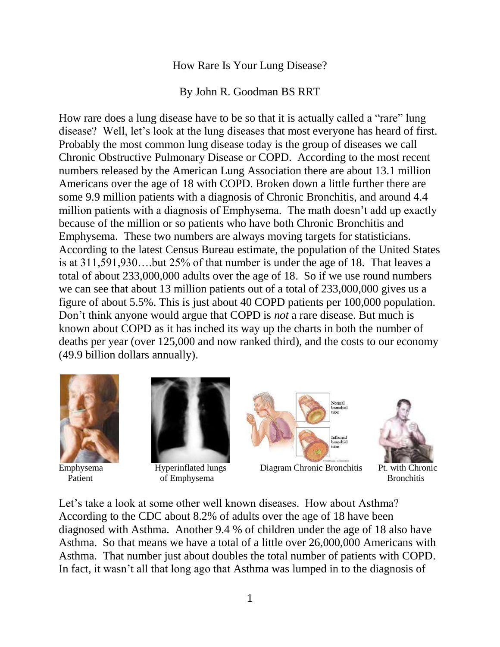## How Rare Is Your Lung Disease?

By John R. Goodman BS RRT

How rare does a lung disease have to be so that it is actually called a "rare" lung disease? Well, let's look at the lung diseases that most everyone has heard of first. Probably the most common lung disease today is the group of diseases we call Chronic Obstructive Pulmonary Disease or COPD. According to the most recent numbers released by the American Lung Association there are about 13.1 million Americans over the age of 18 with COPD. Broken down a little further there are some 9.9 million patients with a diagnosis of Chronic Bronchitis, and around 4.4 million patients with a diagnosis of Emphysema. The math doesn't add up exactly because of the million or so patients who have both Chronic Bronchitis and Emphysema. These two numbers are always moving targets for statisticians. According to the latest Census Bureau estimate, the population of the United States is at 311,591,930….but 25% of that number is under the age of 18. That leaves a total of about 233,000,000 adults over the age of 18. So if we use round numbers we can see that about 13 million patients out of a total of 233,000,000 gives us a figure of about 5.5%. This is just about 40 COPD patients per 100,000 population. Don't think anyone would argue that COPD is *not* a rare disease. But much is known about COPD as it has inched its way up the charts in both the number of deaths per year (over 125,000 and now ranked third), and the costs to our economy (49.9 billion dollars annually).





Patient **Constanting Constanting Constanting Constanting Constanting Constanting Constanting Constanting Constanting Constanting Constanting Constanting Constanting Constanting Constanting Constanting Constanting Constanti** 



Emphysema Hyperinflated lungs Diagram Chronic Bronchitis Pt. with Chronic



Let's take a look at some other well known diseases. How about Asthma? According to the CDC about 8.2% of adults over the age of 18 have been diagnosed with Asthma. Another 9.4 % of children under the age of 18 also have Asthma. So that means we have a total of a little over 26,000,000 Americans with Asthma. That number just about doubles the total number of patients with COPD. In fact, it wasn't all that long ago that Asthma was lumped in to the diagnosis of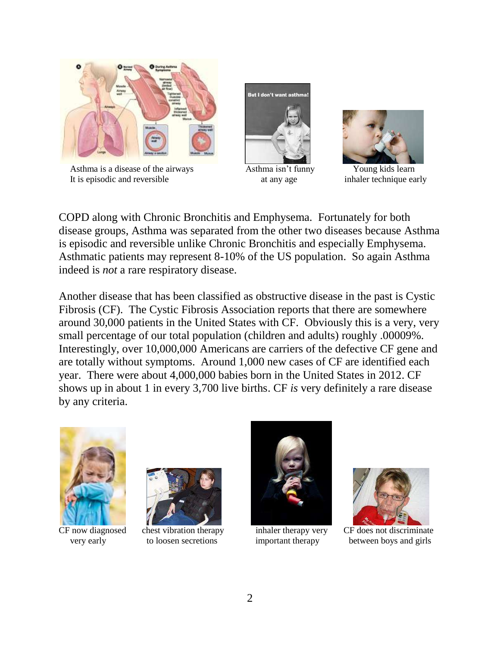

Asthma is a disease of the airways Asthma isn't funny Young kids learn It is episodic and reversible at any age inhaler technique early





COPD along with Chronic Bronchitis and Emphysema. Fortunately for both disease groups, Asthma was separated from the other two diseases because Asthma is episodic and reversible unlike Chronic Bronchitis and especially Emphysema. Asthmatic patients may represent 8-10% of the US population. So again Asthma indeed is *not* a rare respiratory disease.

Another disease that has been classified as obstructive disease in the past is Cystic Fibrosis (CF). The Cystic Fibrosis Association reports that there are somewhere around 30,000 patients in the United States with CF. Obviously this is a very, very small percentage of our total population (children and adults) roughly .00009%. Interestingly, over 10,000,000 Americans are carriers of the defective CF gene and are totally without symptoms. Around 1,000 new cases of CF are identified each year. There were about 4,000,000 babies born in the United States in 2012. CF shows up in about 1 in every 3,700 live births. CF *is* very definitely a rare disease by any criteria.









CF now diagnosed chest vibration therapy inhaler therapy very CF does not discriminate very early to loosen secretions important therapy between boys and girls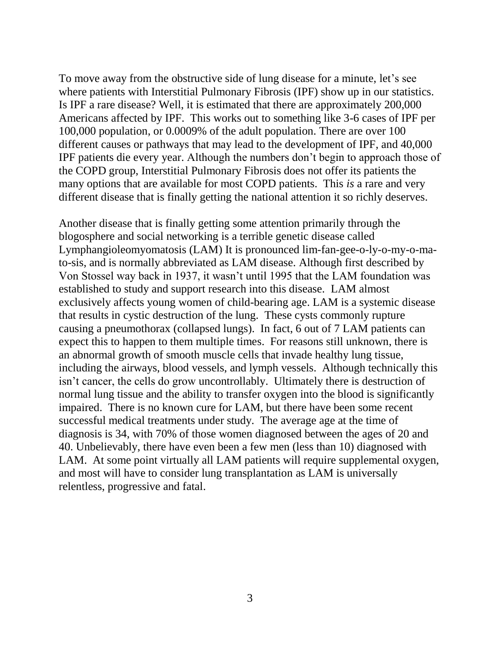To move away from the obstructive side of lung disease for a minute, let's see where patients with Interstitial Pulmonary Fibrosis (IPF) show up in our statistics. Is IPF a rare disease? Well, it is estimated that there are approximately 200,000 Americans affected by IPF. This works out to something like 3-6 cases of IPF per 100,000 population, or 0.0009% of the adult population. There are over 100 different causes or pathways that may lead to the development of IPF, and 40,000 IPF patients die every year. Although the numbers don't begin to approach those of the COPD group, Interstitial Pulmonary Fibrosis does not offer its patients the many options that are available for most COPD patients. This *is* a rare and very different disease that is finally getting the national attention it so richly deserves.

Another disease that is finally getting some attention primarily through the blogosphere and social networking is a terrible genetic disease called Lymphangioleomyomatosis (LAM) It is pronounced lim-fan-gee-o-ly-o-my-o-mato-sis, and is normally abbreviated as LAM disease. Although first described by Von Stossel way back in 1937, it wasn't until 1995 that the LAM foundation was established to study and support research into this disease. LAM almost exclusively affects young women of child-bearing age. LAM is a systemic disease that results in cystic destruction of the lung. These cysts commonly rupture causing a pneumothorax (collapsed lungs). In fact, 6 out of 7 LAM patients can expect this to happen to them multiple times. For reasons still unknown, there is an abnormal growth of smooth muscle cells that invade healthy lung tissue, including the airways, blood vessels, and lymph vessels. Although technically this isn't cancer, the cells do grow uncontrollably. Ultimately there is destruction of normal lung tissue and the ability to transfer oxygen into the blood is significantly impaired. There is no known cure for LAM, but there have been some recent successful medical treatments under study. The average age at the time of diagnosis is 34, with 70% of those women diagnosed between the ages of 20 and 40. Unbelievably, there have even been a few men (less than 10) diagnosed with LAM. At some point virtually all LAM patients will require supplemental oxygen, and most will have to consider lung transplantation as LAM is universally relentless, progressive and fatal.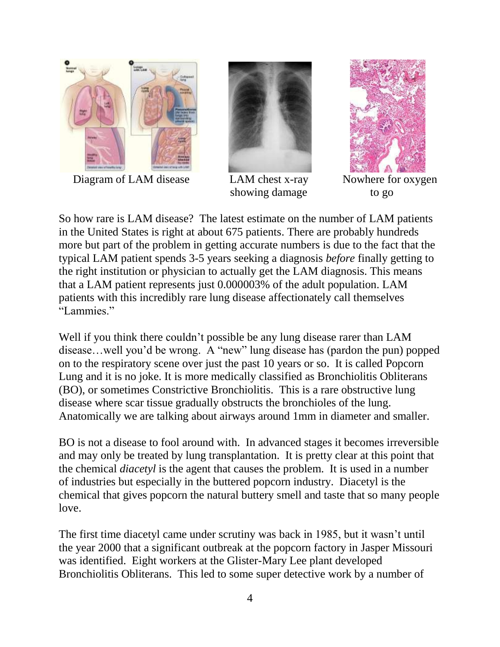

Diagram of LAM disease LAM chest x-ray Nowhere for oxygen



showing damage to go



So how rare is LAM disease? The latest estimate on the number of LAM patients in the United States is right at about 675 patients. There are probably hundreds more but part of the problem in getting accurate numbers is due to the fact that the typical LAM patient spends 3-5 years seeking a diagnosis *before* finally getting to the right institution or physician to actually get the LAM diagnosis. This means that a LAM patient represents just 0.000003% of the adult population. LAM patients with this incredibly rare lung disease affectionately call themselves "Lammies."

Well if you think there couldn't possible be any lung disease rarer than LAM disease…well you'd be wrong. A "new" lung disease has (pardon the pun) popped on to the respiratory scene over just the past 10 years or so. It is called Popcorn Lung and it is no joke. It is more medically classified as Bronchiolitis Obliterans (BO), or sometimes Constrictive Bronchiolitis. This is a rare obstructive lung disease where scar tissue gradually obstructs the bronchioles of the lung. Anatomically we are talking about airways around 1mm in diameter and smaller.

BO is not a disease to fool around with. In advanced stages it becomes irreversible and may only be treated by lung transplantation. It is pretty clear at this point that the chemical *diacetyl* is the agent that causes the problem. It is used in a number of industries but especially in the buttered popcorn industry. Diacetyl is the chemical that gives popcorn the natural buttery smell and taste that so many people love.

The first time diacetyl came under scrutiny was back in 1985, but it wasn't until the year 2000 that a significant outbreak at the popcorn factory in Jasper Missouri was identified. Eight workers at the Glister-Mary Lee plant developed Bronchiolitis Obliterans. This led to some super detective work by a number of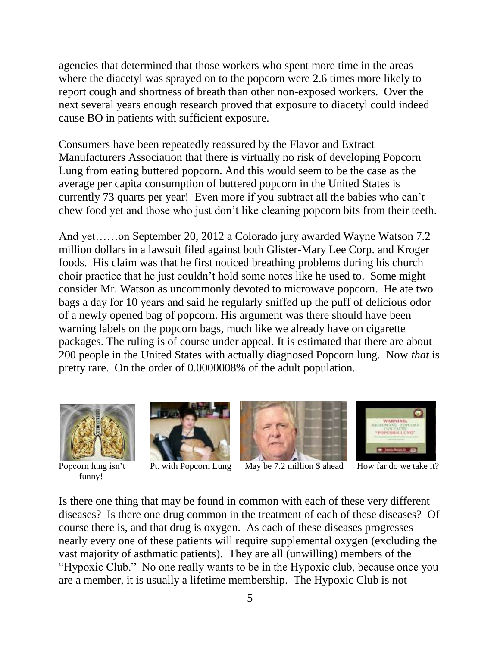agencies that determined that those workers who spent more time in the areas where the diacetyl was sprayed on to the popcorn were 2.6 times more likely to report cough and shortness of breath than other non-exposed workers. Over the next several years enough research proved that exposure to diacetyl could indeed cause BO in patients with sufficient exposure.

Consumers have been repeatedly reassured by the Flavor and Extract Manufacturers Association that there is virtually no risk of developing Popcorn Lung from eating buttered popcorn. And this would seem to be the case as the average per capita consumption of buttered popcorn in the United States is currently 73 quarts per year! Even more if you subtract all the babies who can't chew food yet and those who just don't like cleaning popcorn bits from their teeth.

And yet……on September 20, 2012 a Colorado jury awarded Wayne Watson 7.2 million dollars in a lawsuit filed against both Glister-Mary Lee Corp. and Kroger foods. His claim was that he first noticed breathing problems during his church choir practice that he just couldn't hold some notes like he used to. Some might consider Mr. Watson as uncommonly devoted to microwave popcorn. He ate two bags a day for 10 years and said he regularly sniffed up the puff of delicious odor of a newly opened bag of popcorn. His argument was there should have been warning labels on the popcorn bags, much like we already have on cigarette packages. The ruling is of course under appeal. It is estimated that there are about 200 people in the United States with actually diagnosed Popcorn lung. Now *that* is pretty rare. On the order of 0.0000008% of the adult population.



funny!







Popcorn lung isn't Pt. with Popcorn Lung May be 7.2 million  $\frac{1}{2}$  ahead How far do we take it?

Is there one thing that may be found in common with each of these very different diseases? Is there one drug common in the treatment of each of these diseases? Of course there is, and that drug is oxygen. As each of these diseases progresses nearly every one of these patients will require supplemental oxygen (excluding the vast majority of asthmatic patients). They are all (unwilling) members of the "Hypoxic Club." No one really wants to be in the Hypoxic club, because once you are a member, it is usually a lifetime membership. The Hypoxic Club is not